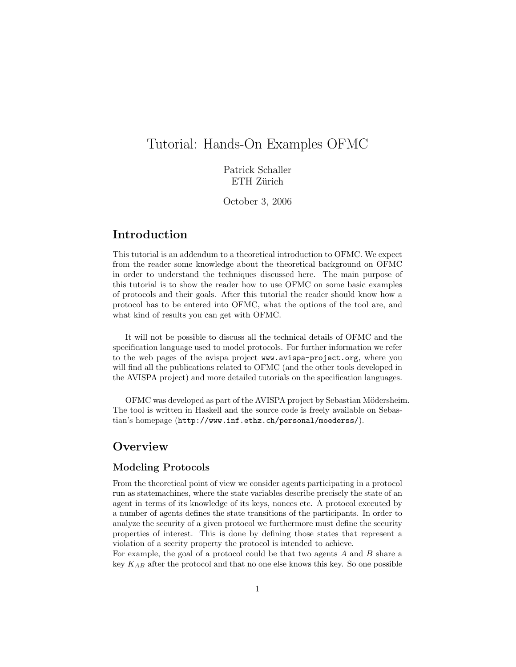# Tutorial: Hands-On Examples OFMC

Patrick Schaller ETH Zürich

October 3, 2006

## Introduction

This tutorial is an addendum to a theoretical introduction to OFMC. We expect from the reader some knowledge about the theoretical background on OFMC in order to understand the techniques discussed here. The main purpose of this tutorial is to show the reader how to use OFMC on some basic examples of protocols and their goals. After this tutorial the reader should know how a protocol has to be entered into OFMC, what the options of the tool are, and what kind of results you can get with OFMC.

It will not be possible to discuss all the technical details of OFMC and the specification language used to model protocols. For further information we refer to the web pages of the avispa project www.avispa-project.org, where you will find all the publications related to OFMC (and the other tools developed in the AVISPA project) and more detailed tutorials on the specification languages.

OFMC was developed as part of the AVISPA project by Sebastian Mödersheim. The tool is written in Haskell and the source code is freely available on Sebastian's homepage (http://www.inf.ethz.ch/personal/moederss/).

### **Overview**

### Modeling Protocols

From the theoretical point of view we consider agents participating in a protocol run as statemachines, where the state variables describe precisely the state of an agent in terms of its knowledge of its keys, nonces etc. A protocol executed by a number of agents defines the state transitions of the participants. In order to analyze the security of a given protocol we furthermore must define the security properties of interest. This is done by defining those states that represent a violation of a secrity property the protocol is intended to achieve.

For example, the goal of a protocol could be that two agents  $A$  and  $B$  share a key  $K_{AB}$  after the protocol and that no one else knows this key. So one possible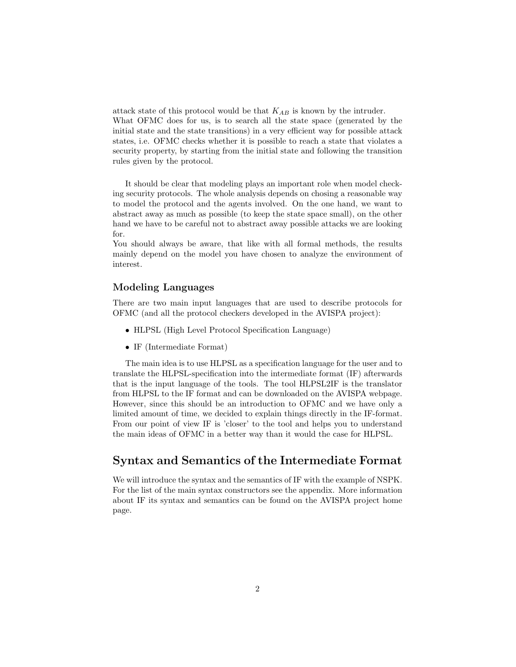attack state of this protocol would be that  $K_{AB}$  is known by the intruder. What OFMC does for us, is to search all the state space (generated by the initial state and the state transitions) in a very efficient way for possible attack states, i.e. OFMC checks whether it is possible to reach a state that violates a security property, by starting from the initial state and following the transition rules given by the protocol.

It should be clear that modeling plays an important role when model checking security protocols. The whole analysis depends on chosing a reasonable way to model the protocol and the agents involved. On the one hand, we want to abstract away as much as possible (to keep the state space small), on the other hand we have to be careful not to abstract away possible attacks we are looking for.

You should always be aware, that like with all formal methods, the results mainly depend on the model you have chosen to analyze the environment of interest.

#### Modeling Languages

There are two main input languages that are used to describe protocols for OFMC (and all the protocol checkers developed in the AVISPA project):

- HLPSL (High Level Protocol Specification Language)
- IF (Intermediate Format)

The main idea is to use HLPSL as a specification language for the user and to translate the HLPSL-specification into the intermediate format (IF) afterwards that is the input language of the tools. The tool HLPSL2IF is the translator from HLPSL to the IF format and can be downloaded on the AVISPA webpage. However, since this should be an introduction to OFMC and we have only a limited amount of time, we decided to explain things directly in the IF-format. From our point of view IF is 'closer' to the tool and helps you to understand the main ideas of OFMC in a better way than it would the case for HLPSL.

### Syntax and Semantics of the Intermediate Format

We will introduce the syntax and the semantics of IF with the example of NSPK. For the list of the main syntax constructors see the appendix. More information about IF its syntax and semantics can be found on the AVISPA project home page.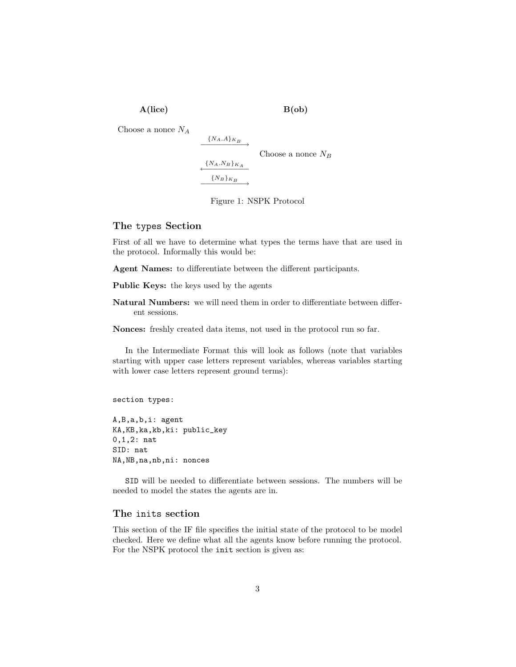A(lice) B(ob)

Choose a nonce  ${\cal N}_A$ 

$$
\xrightarrow{\{N_A.A\}_{K_B}}
$$
 Choose a nonce  $N_B$   

$$
\xrightarrow{\{N_A.N_B\}_{K_A}}
$$

Figure 1: NSPK Protocol

#### The types Section

First of all we have to determine what types the terms have that are used in the protocol. Informally this would be:

Agent Names: to differentiate between the different participants.

Public Keys: the keys used by the agents

Natural Numbers: we will need them in order to differentiate between different sessions.

Nonces: freshly created data items, not used in the protocol run so far.

In the Intermediate Format this will look as follows (note that variables starting with upper case letters represent variables, whereas variables starting with lower case letters represent ground terms):

section types:

A,B,a,b,i: agent KA,KB,ka,kb,ki: public\_key 0,1,2: nat SID: nat NA,NB,na,nb,ni: nonces

SID will be needed to differentiate between sessions. The numbers will be needed to model the states the agents are in.

#### The inits section

This section of the IF file specifies the initial state of the protocol to be model checked. Here we define what all the agents know before running the protocol. For the NSPK protocol the init section is given as: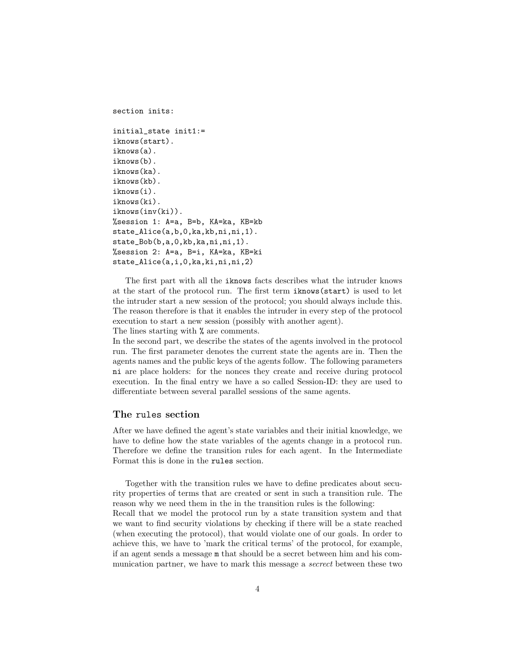section inits:

```
initial_state init1:=
iknows(start).
iknows(a).
iknows(b).
iknows(ka).
iknows(kb).
iknows(i).
iknows(ki).
iknows(inv(ki)).
%session 1: A=a, B=b, KA=ka, KB=kb
state_Alice(a,b,0,ka,kb,ni,ni,1).
state_Bob(b,a,0,kb,ka,ni,ni,1).
%session 2: A=a, B=i, KA=ka, KB=ki
state_Alice(a,i,0,ka,ki,ni,ni,2)
```
The first part with all the iknows facts describes what the intruder knows at the start of the protocol run. The first term iknows(start) is used to let the intruder start a new session of the protocol; you should always include this. The reason therefore is that it enables the intruder in every step of the protocol execution to start a new session (possibly with another agent).

The lines starting with % are comments.

In the second part, we describe the states of the agents involved in the protocol run. The first parameter denotes the current state the agents are in. Then the agents names and the public keys of the agents follow. The following parameters ni are place holders: for the nonces they create and receive during protocol execution. In the final entry we have a so called Session-ID: they are used to differentiate between several parallel sessions of the same agents.

#### The rules section

After we have defined the agent's state variables and their initial knowledge, we have to define how the state variables of the agents change in a protocol run. Therefore we define the transition rules for each agent. In the Intermediate Format this is done in the rules section.

Together with the transition rules we have to define predicates about security properties of terms that are created or sent in such a transition rule. The reason why we need them in the in the transition rules is the following: Recall that we model the protocol run by a state transition system and that we want to find security violations by checking if there will be a state reached (when executing the protocol), that would violate one of our goals. In order to achieve this, we have to 'mark the critical terms' of the protocol, for example, if an agent sends a message m that should be a secret between him and his communication partner, we have to mark this message a secrect between these two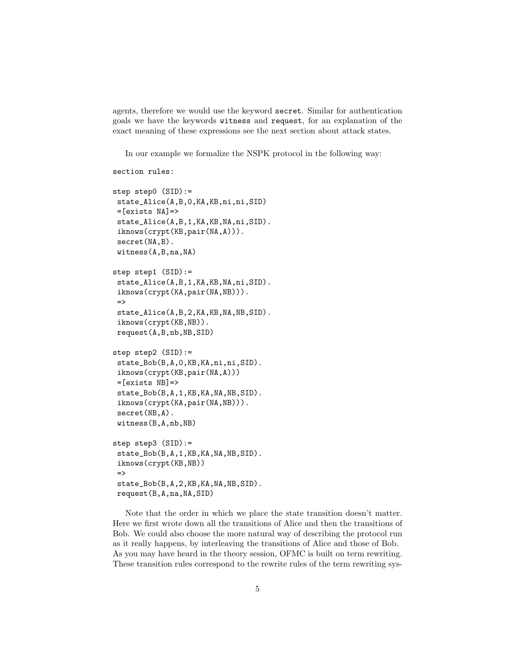agents, therefore we would use the keyword secret. Similar for authentication goals we have the keywords witness and request, for an explanation of the exact meaning of these expressions see the next section about attack states.

In our example we formalize the NSPK protocol in the following way:

```
section rules:
```

```
step step0 (SID):=
state_Alice(A,B,0,KA,KB,ni,ni,SID)
=[exists NA]=state_Alice(A,B,1,KA,KB,NA,ni,SID).
 iknows(crypt(KB,pair(NA,A))).
 secret(NA,B).
witness(A,B,na,NA)
step step1 (SID):=
 state_Alice(A,B,1,KA,KB,NA,ni,SID).
 iknows(crypt(KA,pair(NA,NB))).
 =>
 state_Alice(A,B,2,KA,KB,NA,NB,SID).
 iknows(crypt(KB,NB)).
request(A,B,nb,NB,SID)
step step2 (SID):=
 state_Bob(B,A,0,KB,KA,ni,ni,SID).
 iknows(crypt(KB,pair(NA,A)))
 =[exists NB]=>
 state_Bob(B,A,1,KB,KA,NA,NB,SID).
 iknows(crypt(KA,pair(NA,NB))).
 secret(NB,A).
witness(B,A,nb,NB)
step step3 (SID):=
 state_Bob(B,A,1,KB,KA,NA,NB,SID).
 iknows(crypt(KB,NB))
 =>
 state_Bob(B,A,2,KB,KA,NA,NB,SID).
request(B,A,na,NA,SID)
```
Note that the order in which we place the state transition doesn't matter. Here we first wrote down all the transitions of Alice and then the transitions of Bob. We could also choose the more natural way of describing the protocol run as it really happens, by interleaving the transitions of Alice and those of Bob. As you may have heard in the theory session, OFMC is built on term rewriting. These transition rules correspond to the rewrite rules of the term rewriting sys-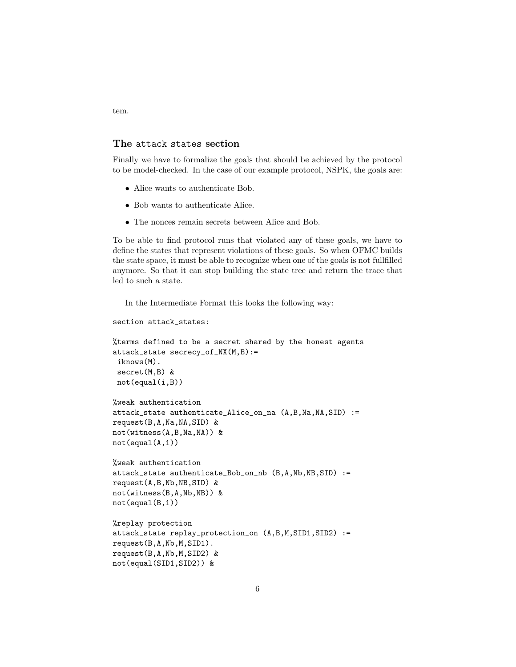#### The attack states section

Finally we have to formalize the goals that should be achieved by the protocol to be model-checked. In the case of our example protocol, NSPK, the goals are:

- Alice wants to authenticate Bob.
- Bob wants to authenticate Alice.
- The nonces remain secrets between Alice and Bob.

To be able to find protocol runs that violated any of these goals, we have to define the states that represent violations of these goals. So when OFMC builds the state space, it must be able to recognize when one of the goals is not fullfilled anymore. So that it can stop building the state tree and return the trace that led to such a state.

In the Intermediate Format this looks the following way:

```
section attack_states:
%terms defined to be a secret shared by the honest agents
attack_state secrecy_of_NX(M,B):=
 iknows(M).
 secret(M,B) &
not(equal(i,B))%weak authentication
attack_state authenticate_Alice_on_na (A,B,Na,NA,SID) :=
request(B,A,Na,NA,SID) &
not(witness(A,B,Na,NA)) &
not(equal(A,i))
%weak authentication
attack_state authenticate_Bob_on_nb (B,A,Nb,NB,SID) :=
request(A,B,Nb,NB,SID) &
not(witness(B,A,Nb,NB)) &
not(equal(B,i))%replay protection
attack_state replay_protection_on (A,B,M,SID1,SID2) :=
request(B,A,Nb,M,SID1).
request(B,A,Nb,M,SID2) &
not(equal(SID1,SID2)) &
```
tem.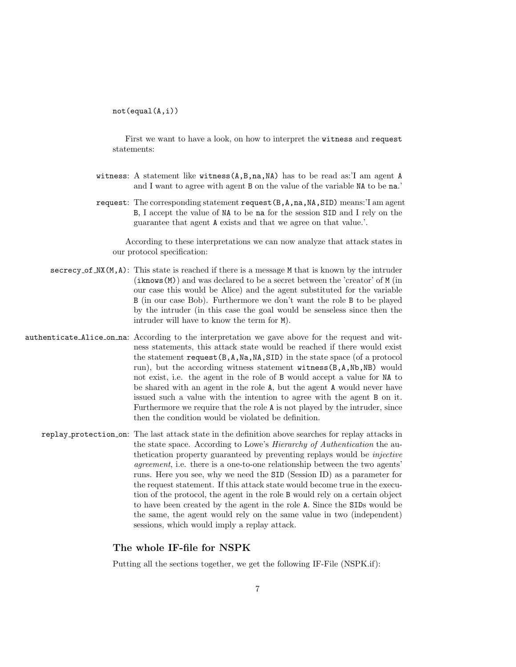not(equal(A,i))

First we want to have a look, on how to interpret the witness and request statements:

- witness: A statement like witness(A,B,na,NA) has to be read as:'I am agent A and I want to agree with agent B on the value of the variable NA to be na.'
- request: The corresponding statement request(B,A,na,NA,SID) means:'I am agent B, I accept the value of NA to be na for the session SID and I rely on the guarantee that agent A exists and that we agree on that value.'.

According to these interpretations we can now analyze that attack states in our protocol specification:

- secrecy of  $\text{MX}(M, A)$ : This state is reached if there is a message M that is known by the intruder (iknows(M)) and was declared to be a secret between the 'creator' of M (in our case this would be Alice) and the agent substituted for the variable B (in our case Bob). Furthermore we don't want the role B to be played by the intruder (in this case the goal would be senseless since then the intruder will have to know the term for M).
- authenticate Alice on na: According to the interpretation we gave above for the request and witness statements, this attack state would be reached if there would exist the statement request(B,A,Na,NA,SID) in the state space (of a protocol run), but the according witness statement witness(B,A,Nb,NB) would not exist, i.e. the agent in the role of B would accept a value for NA to be shared with an agent in the role A, but the agent A would never have issued such a value with the intention to agree with the agent B on it. Furthermore we require that the role A is not played by the intruder, since then the condition would be violated be definition.
	- replay protection on: The last attack state in the definition above searches for replay attacks in the state space. According to Lowe's Hierarchy of Authentication the authetication property guaranteed by preventing replays would be injective agreement, i.e. there is a one-to-one relationship between the two agents' runs. Here you see, why we need the SID (Session ID) as a parameter for the request statement. If this attack state would become true in the execution of the protocol, the agent in the role B would rely on a certain object to have been created by the agent in the role A. Since the SIDs would be the same, the agent would rely on the same value in two (independent) sessions, which would imply a replay attack.

#### The whole IF-file for NSPK

Putting all the sections together, we get the following IF-File (NSPK.if):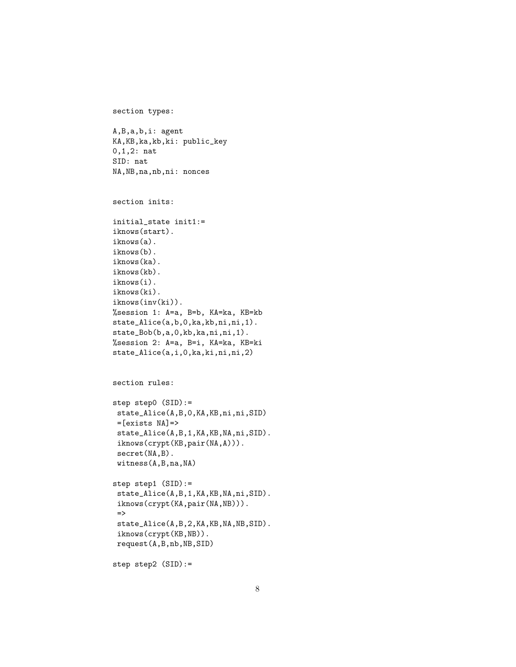```
section types:
```

```
A,B,a,b,i: agent
KA,KB,ka,kb,ki: public_key
0,1,2: nat
SID: nat
NA,NB,na,nb,ni: nonces
```

```
section inits:
```

```
initial_state init1:=
iknows(start).
iknows(a).
iknows(b).
iknows(ka).
iknows(kb).
iknows(i).
iknows(ki).
iknows(inv(ki)).
%session 1: A=a, B=b, KA=ka, KB=kb
state_Alice(a,b,0,ka,kb,ni,ni,1).
state_Bob(b,a,0,kb,ka,ni,ni,1).
%session 2: A=a, B=i, KA=ka, KB=ki
state_Alice(a,i,0,ka,ki,ni,ni,2)
```

```
section rules:
```

```
step step0 (SID):=
state_Alice(A,B,0,KA,KB,ni,ni,SID)
=[exists NA]=>
state_Alice(A,B,1,KA,KB,NA,ni,SID).
iknows(crypt(KB,pair(NA,A))).
secret(NA,B).
witness(A,B,na,NA)
```

```
step step1 (SID):=
 state_Alice(A,B,1,KA,KB,NA,ni,SID).
 iknows(crypt(KA,pair(NA,NB))).
 \Rightarrowstate_Alice(A,B,2,KA,KB,NA,NB,SID).
 iknows(crypt(KB,NB)).
request(A,B,nb,NB,SID)
```

```
step step2 (SID):=
```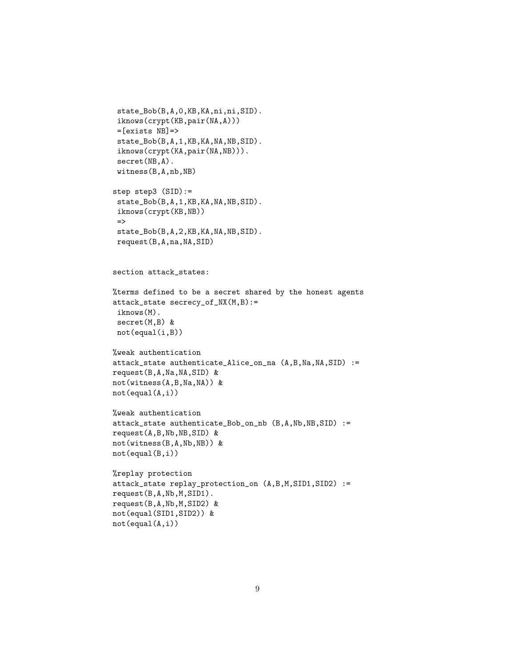```
state_Bob(B,A,0,KB,KA,ni,ni,SID).
 iknows(crypt(KB,pair(NA,A)))
 =[exists NB]=>
 state_Bob(B,A,1,KB,KA,NA,NB,SID).
 iknows(crypt(KA,pair(NA,NB))).
 secret(NB,A).
witness(B,A,nb,NB)
step step3 (SID):=
 state_Bob(B,A,1,KB,KA,NA,NB,SID).
 iknows(crypt(KB,NB))
 \Rightarrowstate_Bob(B,A,2,KB,KA,NA,NB,SID).
request(B,A,na,NA,SID)
section attack_states:
%terms defined to be a secret shared by the honest agents
attack_state secrecy_of_NX(M,B):=
iknows(M).
secret(M,B) &
not(equal(i,B))%weak authentication
attack_state authenticate_Alice_on_na (A,B,Na,NA,SID) :=
request(B,A,Na,NA,SID) &
not(witness(A,B,Na,NA)) &
not(equal(A,i))
%weak authentication
attack_state authenticate_Bob_on_nb (B,A,Nb,NB,SID) :=
request(A,B,Nb,NB,SID) &
not(witness(B,A,Nb,NB)) &
not(equal(B,i))
%replay protection
attack_state replay_protection_on (A,B,M,SID1,SID2) :=
request(B,A,Nb,M,SID1).
request(B,A,Nb,M,SID2) &
not(equal(SID1,SID2)) &
```
not(equal(A,i))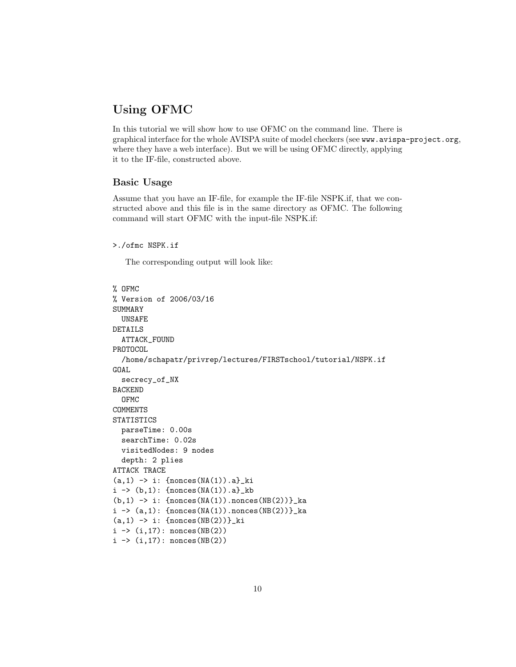## Using OFMC

In this tutorial we will show how to use OFMC on the command line. There is graphical interface for the whole AVISPA suite of model checkers (see www.avispa-project.org, where they have a web interface). But we will be using OFMC directly, applying it to the IF-file, constructed above.

#### Basic Usage

Assume that you have an IF-file, for example the IF-file NSPK.if, that we constructed above and this file is in the same directory as OFMC. The following command will start OFMC with the input-file NSPK.if:

```
>./ofmc NSPK.if
```
The corresponding output will look like:

```
% OFMC
% Version of 2006/03/16
SUMMARY
  UNSAFE
DETAILS
  ATTACK_FOUND
PROTOCOL
  /home/schapatr/privrep/lectures/FIRSTschool/tutorial/NSPK.if
GOAL
  secrecy_of_NX
BACKEND
  OFMC
COMMENTS
STATISTICS
  parseTime: 0.00s
  searchTime: 0.02s
  visitedNodes: 9 nodes
  depth: 2 plies
ATTACK TRACE
(a,1) -> i: {nonces(NA(1)).a}_ki
i \rightarrow (b,1): {nonces(NA(1)).a}_kb
(b,1) -> i: {nonces(NA(1)).nonces(NB(2))}_ka
i \rightarrow (a,1): {nonces(NA(1)).nonces(NB(2))}_ka
(a,1) -> i: {nonces(NB(2))}_ki
i \rightarrow (i, 17): nonces(NB(2))
i \rightarrow (i, 17): nonces(NB(2))
```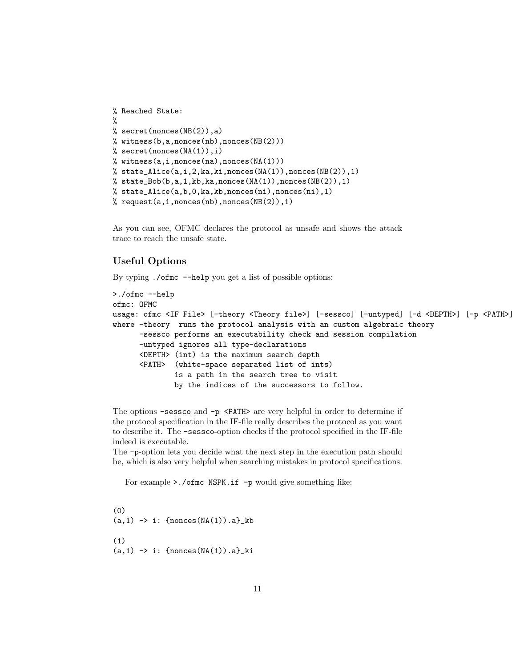```
% Reached State:
%
% secret(nonces(NB(2)),a)
% witness(b,a,nonces(nb),nonces(NB(2)))
% secret(nonces(NA(1)), i)
% witness(a,i,nonces(na),nonces(NA(1)))
% state_Alice(a,i,2,ka,ki,nonces(NA(1)),nonces(NB(2)),1)
% state_Bob(b,a,1,kb,ka,nonces(NA(1)),nonces(NB(2)),1)
% state_Alice(a,b,0,ka,kb,nonces(ni),nonces(ni),1)% request(a,i,nonces(nb),nonces(NB(2)),1)
```
As you can see, OFMC declares the protocol as unsafe and shows the attack trace to reach the unsafe state.

#### Useful Options

By typing ./ofmc --help you get a list of possible options:

```
>./ofmc --help
ofmc: OFMC
usage: ofmc <IF File> [-theory <Theory file>] [-sessco] [-untyped] [-d <DEPTH>] [-p <PATH>]
where -theory runs the protocol analysis with an custom algebraic theory
      -sessco performs an executability check and session compilation
      -untyped ignores all type-declarations
      <DEPTH> (int) is the maximum search depth
      <PATH> (white-space separated list of ints)
              is a path in the search tree to visit
              by the indices of the successors to follow.
```
The options -sessco and -p <PATH> are very helpful in order to determine if the protocol specification in the IF-file really describes the protocol as you want to describe it. The -sessco-option checks if the protocol specified in the IF-file indeed is executable.

The -p-option lets you decide what the next step in the execution path should be, which is also very helpful when searching mistakes in protocol specifications.

For example >./ofmc NSPK.if -p would give something like:

```
(0)
(a,1) -> i: {nonces(NA(1)).a} kb
(1)
(a,1) -> i: {nonces}(NA(1)).a}ki
```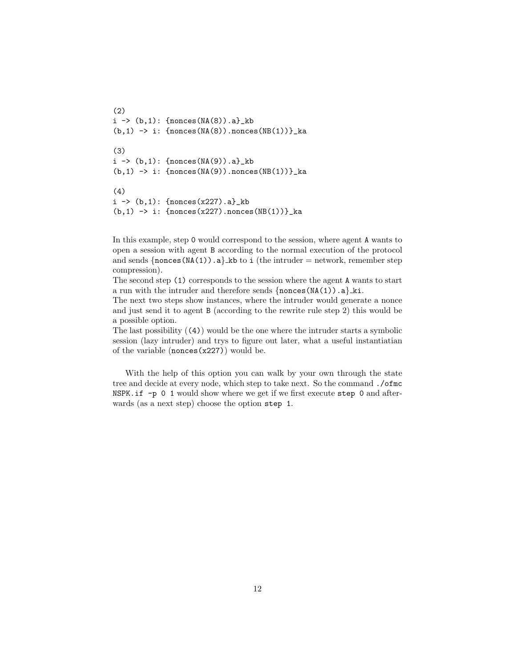```
(2)
i \rightarrow (b,1): {nonces(NA(8)).a}_kb
(b,1) \rightarrow i: {nonces(NA(8)).nonces(NB(1))}_ka
(3)
i \rightarrow (b,1): {nonces(NA(9)).a}_kb
(b,1) -> i: {nonces}(NA(9)).nonces(NB(1))<sub>-</sub>ka
(4)
i \rightarrow (b,1): {nonces(x227).a}_kb
(b,1) -> i: {nonces(x227).nonces(NB(1))} ka
```
In this example, step 0 would correspond to the session, where agent A wants to open a session with agent B according to the normal execution of the protocol and sends  $\{\text{nonces}(NA(1))\}.a\}$  kb to i (the intruder = network, remember step compression).

The second step (1) corresponds to the session where the agent A wants to start a run with the intruder and therefore sends  $\{nonces(MA(1)) . a\}$  ki.

The next two steps show instances, where the intruder would generate a nonce and just send it to agent B (according to the rewrite rule step 2) this would be a possible option.

The last possibility  $(4)$  would be the one where the intruder starts a symbolic session (lazy intruder) and trys to figure out later, what a useful instantiatian of the variable  $(\text{nonces}(x227))$  would be.

With the help of this option you can walk by your own through the state tree and decide at every node, which step to take next. So the command ./ofmc NSPK.if -p 0 1 would show where we get if we first execute step 0 and afterwards (as a next step) choose the option step 1.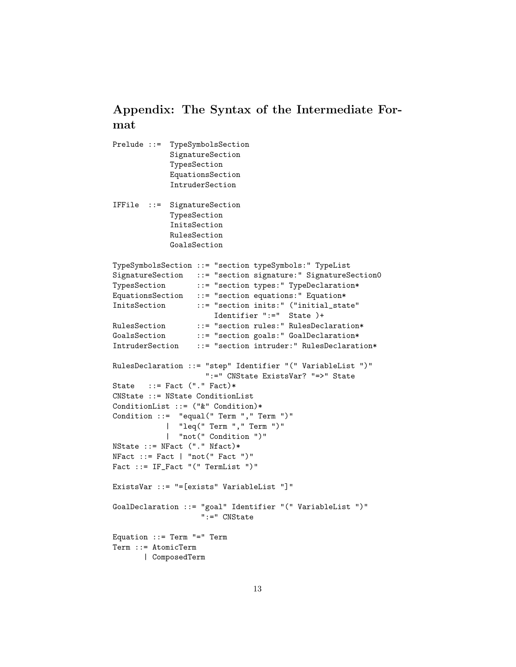# Appendix: The Syntax of the Intermediate Format

```
Prelude ::= TypeSymbolsSection
            SignatureSection
            TypesSection
            EquationsSection
            IntruderSection
IFFile ::= SignatureSection
            TypesSection
            InitsSection
            RulesSection
            GoalsSection
TypeSymbolsSection ::= "section typeSymbols:" TypeList
SignatureSection ::= "section signature:" SignatureSection0
TypesSection ::= "section types:" TypeDeclaration*
EquationsSection ::= "section equations:" Equation*
InitsSection ::= "section inits:" ("initial_state"
                      Identifier ":=" State )+
RulesSection ::= "section rules:" RulesDeclaration*
GoalsSection ::= "section goals:" GoalDeclaration*
IntruderSection ::= "section intruder:" RulesDeclaration*
RulesDeclaration ::= "step" Identifier "(" VariableList ")"
                    ":=" CNState ExistsVar? "=>" State
State ::= Fact ("." Fact)*
CNState ::= NState ConditionList
ConditionList ::= ("&" Condition)*
Condition ::= "equal(" Term "," Term ")"
           | "leq(" Term "," Term ")"
           | "not(" Condition ")"
NState ::= NFact ("." Nfact)*
NFact ::= Fact | "not(" Fact")"
Fact ::= IF_Fact "(" TermList ")"
ExistsVar ::= "=[exists" VariableList "]"
GoalDeclaration ::= "goal" Identifier "(" VariableList ")"
                   ":=" CNState
Equation ::= Term "=" Term
Term ::= AtomicTerm
      | ComposedTerm
```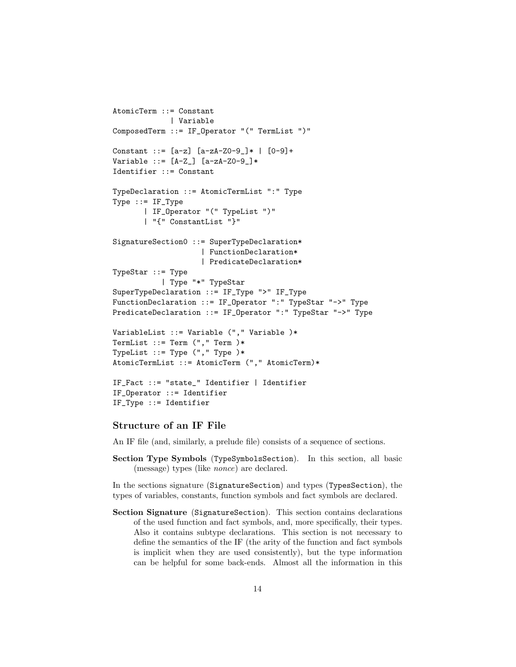```
AtomicTerm ::= Constant
             | Variable
ComposedTerm ::= IF_Operator "(" TermList ")"
Constant ::= [a-z] [a-zA-Z0-9] * | [0-9]+Variable ::=[A-Z] [a-zA-Z0-9]]*Identifier ::= Constant
TypeDeclaration ::= AtomicTermList ":" Type
Type ::= IF_Type
       | IF_Operator "(" TypeList ")"
       | "{" ConstantList "}"
SignatureSection0 ::= SuperTypeDeclaration*
                    | FunctionDeclaration*
                    | PredicateDeclaration*
TypeStar ::= Type
           | Type "*" TypeStar
SuperTypeDeclaration ::= IF_Type ">" IF_Type
FunctionDeclaration ::= IF_Operator ":" TypeStar "->" Type
PredicateDeclaration ::= IF_Operator ":" TypeStar "->" Type
VariableList ::= Variable ("," Variable )*
TermList ::= Term ("," Term )*TypeList ::= Type ("," Type )*
AtomicTermList ::= AtomicTerm ("," AtomicTerm)*
IF_Fact ::= "state_" Identifier | Identifier
IF_Operator ::= Identifier
IF_Type ::= Identifier
```
#### Structure of an IF File

An IF file (and, similarly, a prelude file) consists of a sequence of sections.

Section Type Symbols (TypeSymbolsSection). In this section, all basic (message) types (like nonce) are declared.

In the sections signature (SignatureSection) and types (TypesSection), the types of variables, constants, function symbols and fact symbols are declared.

Section Signature (SignatureSection). This section contains declarations of the used function and fact symbols, and, more specifically, their types. Also it contains subtype declarations. This section is not necessary to define the semantics of the IF (the arity of the function and fact symbols is implicit when they are used consistently), but the type information can be helpful for some back-ends. Almost all the information in this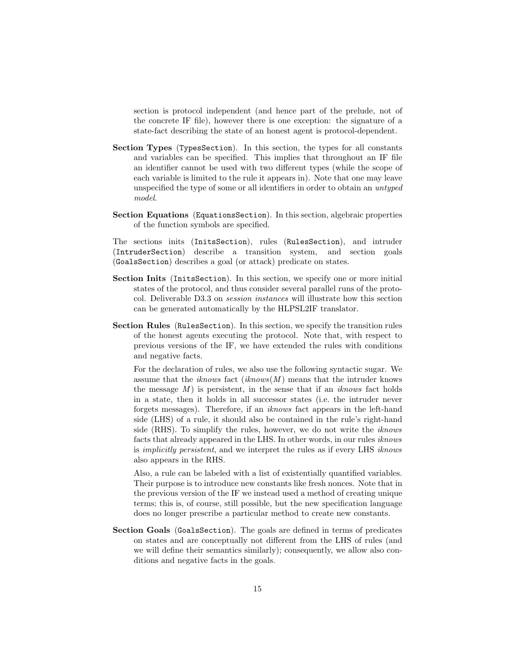section is protocol independent (and hence part of the prelude, not of the concrete IF file), however there is one exception: the signature of a state-fact describing the state of an honest agent is protocol-dependent.

- Section Types (TypesSection). In this section, the types for all constants and variables can be specified. This implies that throughout an IF file an identifier cannot be used with two different types (while the scope of each variable is limited to the rule it appears in). Note that one may leave unspecified the type of some or all identifiers in order to obtain an untyped model.
- Section Equations (EquationsSection). In this section, algebraic properties of the function symbols are specified.

The sections inits (InitsSection), rules (RulesSection), and intruder (IntruderSection) describe a transition system, and section goals (GoalsSection) describes a goal (or attack) predicate on states.

- Section Inits (InitsSection). In this section, we specify one or more initial states of the protocol, and thus consider several parallel runs of the protocol. Deliverable D3.3 on session instances will illustrate how this section can be generated automatically by the HLPSL2IF translator.
- Section Rules (RulesSection). In this section, we specify the transition rules of the honest agents executing the protocol. Note that, with respect to previous versions of the IF, we have extended the rules with conditions and negative facts.

For the declaration of rules, we also use the following syntactic sugar. We assume that the *iknows* fact  $(iknows(M))$  means that the intruder knows the message  $M$ ) is persistent, in the sense that if an *iknows* fact holds in a state, then it holds in all successor states (i.e. the intruder never forgets messages). Therefore, if an iknows fact appears in the left-hand side (LHS) of a rule, it should also be contained in the rule's right-hand side (RHS). To simplify the rules, however, we do not write the iknows facts that already appeared in the LHS. In other words, in our rules iknows is implicitly persistent, and we interpret the rules as if every LHS iknows also appears in the RHS.

Also, a rule can be labeled with a list of existentially quantified variables. Their purpose is to introduce new constants like fresh nonces. Note that in the previous version of the IF we instead used a method of creating unique terms; this is, of course, still possible, but the new specification language does no longer prescribe a particular method to create new constants.

Section Goals (GoalsSection). The goals are defined in terms of predicates on states and are conceptually not different from the LHS of rules (and we will define their semantics similarly); consequently, we allow also conditions and negative facts in the goals.